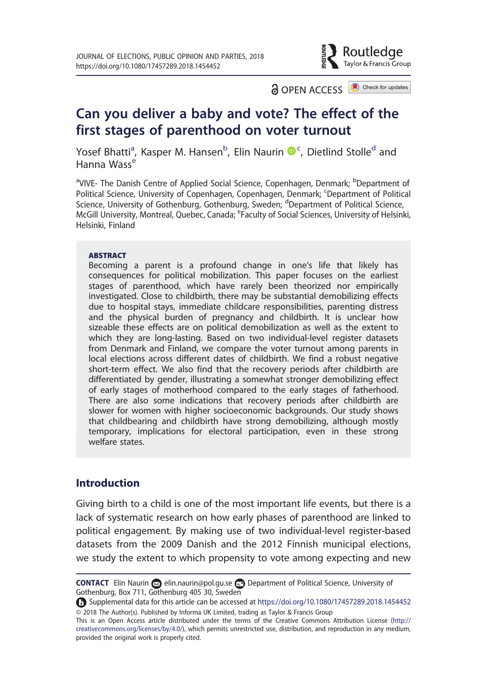

a OPEN ACCESS Check for updates

# Can you deliver a baby and vote? The effect of the first stages of parenthood on voter turnout

Yosef Bhatti<sup>a</sup>, Kasper M. Hansen<sup>b</sup>, Elin Naurin <sup>® c</sup>, Dietlind Stolle<sup>d</sup> and Hanna Wasse

<sup>a</sup>VIVE- The Danish Centre of Applied Social Science, Copenhagen, Denmark; <sup>b</sup>Department of Political Science, University of Copenhagen, Copenhagen, Denmark; <sup>c</sup>Department of Political Science, University of Gothenburg, Gothenburg, Sweden; <sup>d</sup>Department of Political Science, McGill University, Montreal, Quebec, Canada; <sup>e</sup>Faculty of Social Sciences, University of Helsinki, Helsinki, Finland

#### ABSTRACT

Becoming a parent is a profound change in one's life that likely has consequences for political mobilization. This paper focuses on the earliest stages of parenthood, which have rarely been theorized nor empirically investigated. Close to childbirth, there may be substantial demobilizing effects due to hospital stays, immediate childcare responsibilities, parenting distress and the physical burden of pregnancy and childbirth. It is unclear how sizeable these effects are on political demobilization as well as the extent to which they are long-lasting. Based on two individual-level register datasets from Denmark and Finland, we compare the voter turnout among parents in local elections across different dates of childbirth. We find a robust negative short-term effect. We also find that the recovery periods after childbirth are differentiated by gender, illustrating a somewhat stronger demobilizing effect of early stages of motherhood compared to the early stages of fatherhood. There are also some indications that recovery periods after childbirth are slower for women with higher socioeconomic backgrounds. Our study shows that childbearing and childbirth have strong demobilizing, although mostly temporary, implications for electoral participation, even in these strong welfare states.

## Introduction

Giving birth to a child is one of the most important life events, but there is a lack of systematic research on how early phases of parenthood are linked to political engagement. By making use of two individual-level register-based datasets from the 2009 Danish and the 2012 Finnish municipal elections, we study the extent to which propensity to vote among expecting and new

© 2018 The Author(s). Published by Informa UK Limited, trading as Taylor & Francis Group Supplemental data for this article can be accessed at https://doi.org/10.1080/17457289.2018.1454452

CONTACT Elin Naurin all elin.naurin@pol.gu.se Department of Political Science, University of Gothenburg, Box 711, Gothenburg 405 30, Sweden

This is an Open Access article distributed under the terms of the Creative Commons Attribution License (http:// creativecommons.org/licenses/by/4.0/), which permits unrestricted use, distribution, and reproduction in any medium, provided the original work is properly cited.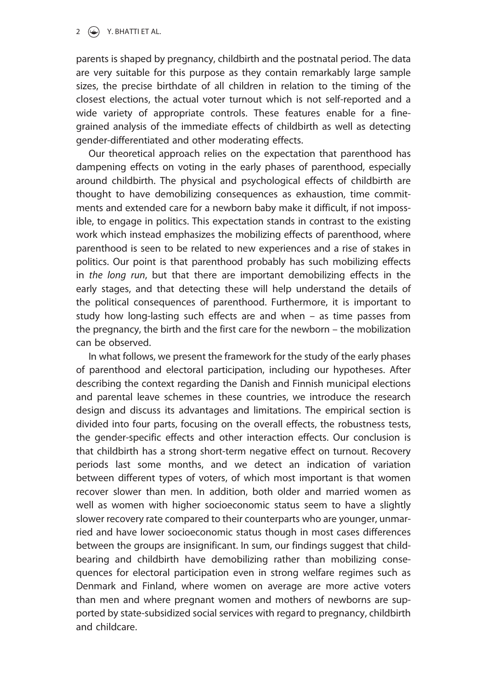parents is shaped by pregnancy, childbirth and the postnatal period. The data are very suitable for this purpose as they contain remarkably large sample sizes, the precise birthdate of all children in relation to the timing of the closest elections, the actual voter turnout which is not self-reported and a wide variety of appropriate controls. These features enable for a finegrained analysis of the immediate effects of childbirth as well as detecting gender-differentiated and other moderating effects.

Our theoretical approach relies on the expectation that parenthood has dampening effects on voting in the early phases of parenthood, especially around childbirth. The physical and psychological effects of childbirth are thought to have demobilizing consequences as exhaustion, time commitments and extended care for a newborn baby make it difficult, if not impossible, to engage in politics. This expectation stands in contrast to the existing work which instead emphasizes the mobilizing effects of parenthood, where parenthood is seen to be related to new experiences and a rise of stakes in politics. Our point is that parenthood probably has such mobilizing effects in *the long run*, but that there are important demobilizing effects in the early stages, and that detecting these will help understand the details of the political consequences of parenthood. Furthermore, it is important to study how long-lasting such effects are and when – as time passes from the pregnancy, the birth and the first care for the newborn – the mobilization can be observed.

In what follows, we present the framework for the study of the early phases of parenthood and electoral participation, including our hypotheses. After describing the context regarding the Danish and Finnish municipal elections and parental leave schemes in these countries, we introduce the research design and discuss its advantages and limitations. The empirical section is divided into four parts, focusing on the overall effects, the robustness tests, the gender-specific effects and other interaction effects. Our conclusion is that childbirth has a strong short-term negative effect on turnout. Recovery periods last some months, and we detect an indication of variation between different types of voters, of which most important is that women recover slower than men. In addition, both older and married women as well as women with higher socioeconomic status seem to have a slightly slower recovery rate compared to their counterparts who are younger, unmarried and have lower socioeconomic status though in most cases differences between the groups are insignificant. In sum, our findings suggest that childbearing and childbirth have demobilizing rather than mobilizing consequences for electoral participation even in strong welfare regimes such as Denmark and Finland, where women on average are more active voters than men and where pregnant women and mothers of newborns are supported by state-subsidized social services with regard to pregnancy, childbirth and childcare.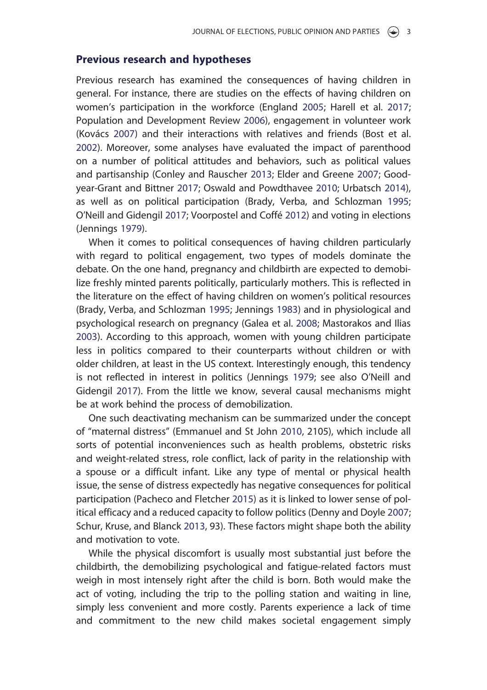#### Previous research and hypotheses

Previous research has examined the consequences of having children in general. For instance, there are studies on the effects of having children on women's participation in the workforce (England 2005; Harell et al. 2017; Population and Development Review 2006), engagement in volunteer work (Kovács 2007) and their interactions with relatives and friends (Bost et al. 2002). Moreover, some analyses have evaluated the impact of parenthood on a number of political attitudes and behaviors, such as political values and partisanship (Conley and Rauscher 2013; Elder and Greene 2007; Goodyear-Grant and Bittner 2017; Oswald and Powdthavee 2010; Urbatsch 2014), as well as on political participation (Brady, Verba, and Schlozman 1995; O'Neill and Gidengil 2017; Voorpostel and Coffé 2012) and voting in elections (Jennings 1979).

When it comes to political consequences of having children particularly with regard to political engagement, two types of models dominate the debate. On the one hand, pregnancy and childbirth are expected to demobilize freshly minted parents politically, particularly mothers. This is reflected in the literature on the effect of having children on women's political resources (Brady, Verba, and Schlozman 1995; Jennings 1983) and in physiological and psychological research on pregnancy (Galea et al. 2008; Mastorakos and Ilias 2003). According to this approach, women with young children participate less in politics compared to their counterparts without children or with older children, at least in the US context. Interestingly enough, this tendency is not reflected in interest in politics (Jennings 1979; see also O'Neill and Gidengil 2017). From the little we know, several causal mechanisms might be at work behind the process of demobilization.

One such deactivating mechanism can be summarized under the concept of "maternal distress" (Emmanuel and St John 2010, 2105), which include all sorts of potential inconveniences such as health problems, obstetric risks and weight-related stress, role conflict, lack of parity in the relationship with a spouse or a difficult infant. Like any type of mental or physical health issue, the sense of distress expectedly has negative consequences for political participation (Pacheco and Fletcher 2015) as it is linked to lower sense of political efficacy and a reduced capacity to follow politics (Denny and Doyle 2007; Schur, Kruse, and Blanck 2013, 93). These factors might shape both the ability and motivation to vote.

While the physical discomfort is usually most substantial just before the childbirth, the demobilizing psychological and fatigue-related factors must weigh in most intensely right after the child is born. Both would make the act of voting, including the trip to the polling station and waiting in line, simply less convenient and more costly. Parents experience a lack of time and commitment to the new child makes societal engagement simply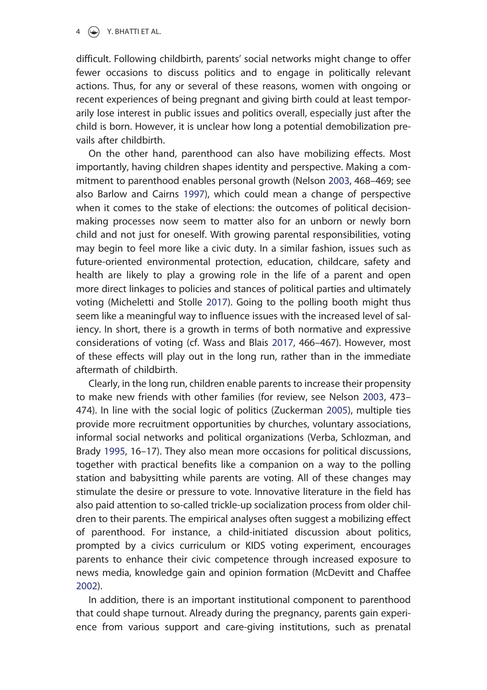#### $4 \quad (*)$  Y. BHATTI ET AL.

difficult. Following childbirth, parents' social networks might change to offer fewer occasions to discuss politics and to engage in politically relevant actions. Thus, for any or several of these reasons, women with ongoing or recent experiences of being pregnant and giving birth could at least temporarily lose interest in public issues and politics overall, especially just after the child is born. However, it is unclear how long a potential demobilization prevails after childbirth.

On the other hand, parenthood can also have mobilizing effects. Most importantly, having children shapes identity and perspective. Making a commitment to parenthood enables personal growth (Nelson 2003, 468–469; see also Barlow and Cairns 1997), which could mean a change of perspective when it comes to the stake of elections: the outcomes of political decisionmaking processes now seem to matter also for an unborn or newly born child and not just for oneself. With growing parental responsibilities, voting may begin to feel more like a civic duty. In a similar fashion, issues such as future-oriented environmental protection, education, childcare, safety and health are likely to play a growing role in the life of a parent and open more direct linkages to policies and stances of political parties and ultimately voting (Micheletti and Stolle 2017). Going to the polling booth might thus seem like a meaningful way to influence issues with the increased level of saliency. In short, there is a growth in terms of both normative and expressive considerations of voting (cf. Wass and Blais 2017, 466–467). However, most of these effects will play out in the long run, rather than in the immediate aftermath of childbirth.

Clearly, in the long run, children enable parents to increase their propensity to make new friends with other families (for review, see Nelson 2003, 473– 474). In line with the social logic of politics (Zuckerman 2005), multiple ties provide more recruitment opportunities by churches, voluntary associations, informal social networks and political organizations (Verba, Schlozman, and Brady 1995, 16–17). They also mean more occasions for political discussions, together with practical benefits like a companion on a way to the polling station and babysitting while parents are voting. All of these changes may stimulate the desire or pressure to vote. Innovative literature in the field has also paid attention to so-called trickle-up socialization process from older children to their parents. The empirical analyses often suggest a mobilizing effect of parenthood. For instance, a child-initiated discussion about politics, prompted by a civics curriculum or KIDS voting experiment, encourages parents to enhance their civic competence through increased exposure to news media, knowledge gain and opinion formation (McDevitt and Chaffee 2002).

In addition, there is an important institutional component to parenthood that could shape turnout. Already during the pregnancy, parents gain experience from various support and care-giving institutions, such as prenatal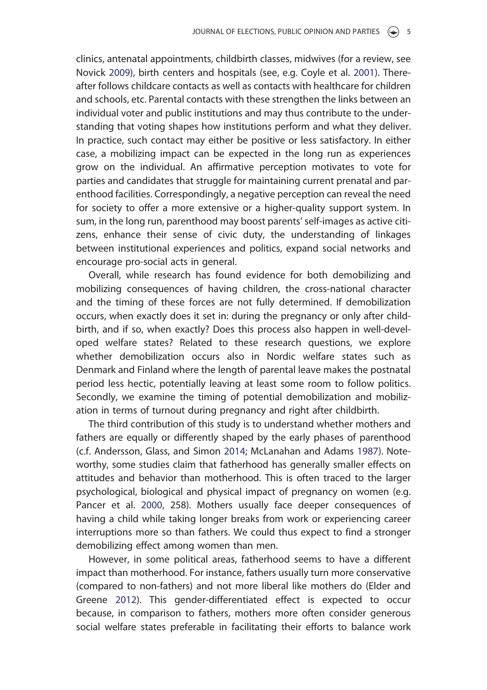clinics, antenatal appointments, childbirth classes, midwives (for a review, see Novick 2009), birth centers and hospitals (see, e.g. Coyle et al. 2001). Thereafter follows childcare contacts as well as contacts with healthcare for children and schools, etc. Parental contacts with these strengthen the links between an individual voter and public institutions and may thus contribute to the understanding that voting shapes how institutions perform and what they deliver. In practice, such contact may either be positive or less satisfactory. In either case, a mobilizing impact can be expected in the long run as experiences grow on the individual. An affirmative perception motivates to vote for parties and candidates that struggle for maintaining current prenatal and parenthood facilities. Correspondingly, a negative perception can reveal the need for society to offer a more extensive or a higher-quality support system. In sum, in the long run, parenthood may boost parents' self-images as active citizens, enhance their sense of civic duty, the understanding of linkages between institutional experiences and politics, expand social networks and encourage pro-social acts in general.

Overall, while research has found evidence for both demobilizing and mobilizing consequences of having children, the cross-national character and the timing of these forces are not fully determined. If demobilization occurs, when exactly does it set in: during the pregnancy or only after childbirth, and if so, when exactly? Does this process also happen in well-developed welfare states? Related to these research questions, we explore whether demobilization occurs also in Nordic welfare states such as Denmark and Finland where the length of parental leave makes the postnatal period less hectic, potentially leaving at least some room to follow politics. Secondly, we examine the timing of potential demobilization and mobilization in terms of turnout during pregnancy and right after childbirth.

The third contribution of this study is to understand whether mothers and fathers are equally or differently shaped by the early phases of parenthood (c.f. Andersson, Glass, and Simon 2014; McLanahan and Adams 1987). Noteworthy, some studies claim that fatherhood has generally smaller effects on attitudes and behavior than motherhood. This is often traced to the larger psychological, biological and physical impact of pregnancy on women (e.g. Pancer et al. 2000, 258). Mothers usually face deeper consequences of having a child while taking longer breaks from work or experiencing career interruptions more so than fathers. We could thus expect to find a stronger demobilizing effect among women than men.

However, in some political areas, fatherhood seems to have a different impact than motherhood. For instance, fathers usually turn more conservative (compared to non-fathers) and not more liberal like mothers do (Elder and Greene 2012). This gender-differentiated effect is expected to occur because, in comparison to fathers, mothers more often consider generous social welfare states preferable in facilitating their efforts to balance work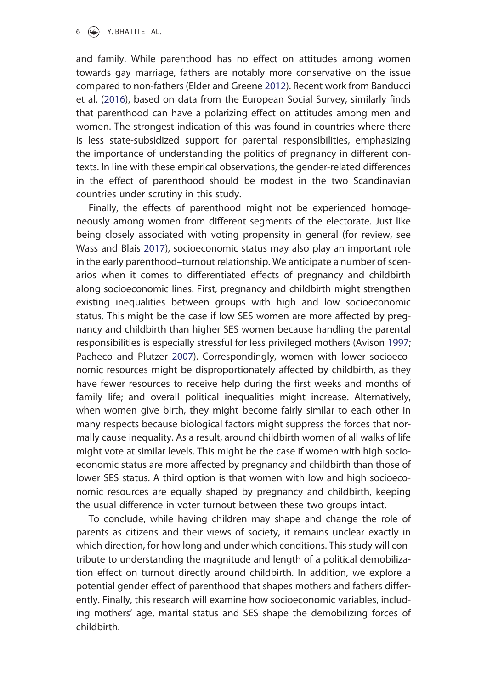#### $6 \quad (*)$  Y. BHATTI ET AL.

and family. While parenthood has no effect on attitudes among women towards gay marriage, fathers are notably more conservative on the issue compared to non-fathers (Elder and Greene 2012). Recent work from Banducci et al. (2016), based on data from the European Social Survey, similarly finds that parenthood can have a polarizing effect on attitudes among men and women. The strongest indication of this was found in countries where there is less state-subsidized support for parental responsibilities, emphasizing the importance of understanding the politics of pregnancy in different contexts. In line with these empirical observations, the gender-related differences in the effect of parenthood should be modest in the two Scandinavian countries under scrutiny in this study.

Finally, the effects of parenthood might not be experienced homogeneously among women from different segments of the electorate. Just like being closely associated with voting propensity in general (for review, see Wass and Blais 2017), socioeconomic status may also play an important role in the early parenthood–turnout relationship. We anticipate a number of scenarios when it comes to differentiated effects of pregnancy and childbirth along socioeconomic lines. First, pregnancy and childbirth might strengthen existing inequalities between groups with high and low socioeconomic status. This might be the case if low SES women are more affected by pregnancy and childbirth than higher SES women because handling the parental responsibilities is especially stressful for less privileged mothers (Avison 1997; Pacheco and Plutzer 2007). Correspondingly, women with lower socioeconomic resources might be disproportionately affected by childbirth, as they have fewer resources to receive help during the first weeks and months of family life; and overall political inequalities might increase. Alternatively, when women give birth, they might become fairly similar to each other in many respects because biological factors might suppress the forces that normally cause inequality. As a result, around childbirth women of all walks of life might vote at similar levels. This might be the case if women with high socioeconomic status are more affected by pregnancy and childbirth than those of lower SES status. A third option is that women with low and high socioeconomic resources are equally shaped by pregnancy and childbirth, keeping the usual difference in voter turnout between these two groups intact.

To conclude, while having children may shape and change the role of parents as citizens and their views of society, it remains unclear exactly in which direction, for how long and under which conditions. This study will contribute to understanding the magnitude and length of a political demobilization effect on turnout directly around childbirth. In addition, we explore a potential gender effect of parenthood that shapes mothers and fathers differently. Finally, this research will examine how socioeconomic variables, including mothers' age, marital status and SES shape the demobilizing forces of childbirth.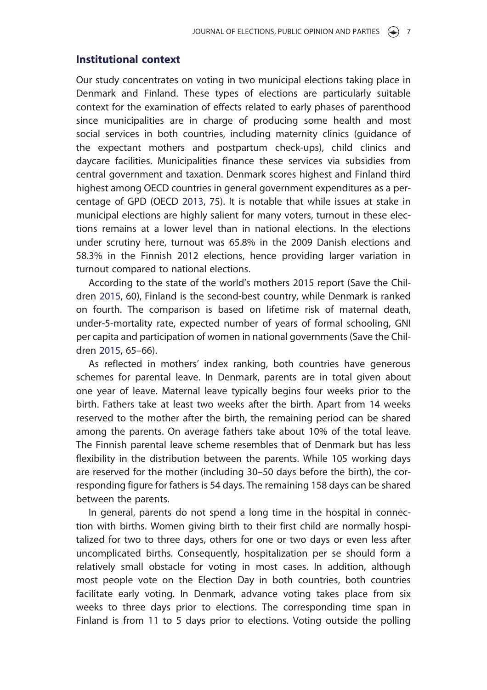### Institutional context

Our study concentrates on voting in two municipal elections taking place in Denmark and Finland. These types of elections are particularly suitable context for the examination of effects related to early phases of parenthood since municipalities are in charge of producing some health and most social services in both countries, including maternity clinics (guidance of the expectant mothers and postpartum check-ups), child clinics and daycare facilities. Municipalities finance these services via subsidies from central government and taxation. Denmark scores highest and Finland third highest among OECD countries in general government expenditures as a percentage of GPD (OECD 2013, 75). It is notable that while issues at stake in municipal elections are highly salient for many voters, turnout in these elections remains at a lower level than in national elections. In the elections under scrutiny here, turnout was 65.8% in the 2009 Danish elections and 58.3% in the Finnish 2012 elections, hence providing larger variation in turnout compared to national elections.

According to the state of the world's mothers 2015 report (Save the Children 2015, 60), Finland is the second-best country, while Denmark is ranked on fourth. The comparison is based on lifetime risk of maternal death, under-5-mortality rate, expected number of years of formal schooling, GNI per capita and participation of women in national governments (Save the Children 2015, 65–66).

As reflected in mothers' index ranking, both countries have generous schemes for parental leave. In Denmark, parents are in total given about one year of leave. Maternal leave typically begins four weeks prior to the birth. Fathers take at least two weeks after the birth. Apart from 14 weeks reserved to the mother after the birth, the remaining period can be shared among the parents. On average fathers take about 10% of the total leave. The Finnish parental leave scheme resembles that of Denmark but has less flexibility in the distribution between the parents. While 105 working days are reserved for the mother (including 30–50 days before the birth), the corresponding figure for fathers is 54 days. The remaining 158 days can be shared between the parents.

In general, parents do not spend a long time in the hospital in connection with births. Women giving birth to their first child are normally hospitalized for two to three days, others for one or two days or even less after uncomplicated births. Consequently, hospitalization per se should form a relatively small obstacle for voting in most cases. In addition, although most people vote on the Election Day in both countries, both countries facilitate early voting. In Denmark, advance voting takes place from six weeks to three days prior to elections. The corresponding time span in Finland is from 11 to 5 days prior to elections. Voting outside the polling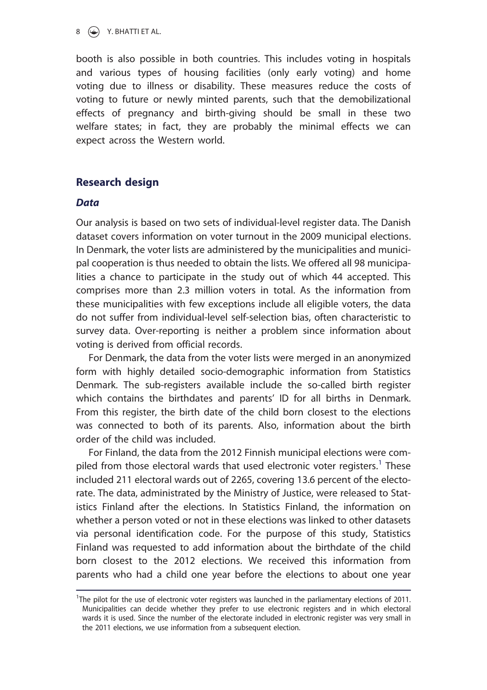$8 \leftrightarrow$  Y. BHATTI ET AL.

booth is also possible in both countries. This includes voting in hospitals and various types of housing facilities (only early voting) and home voting due to illness or disability. These measures reduce the costs of voting to future or newly minted parents, such that the demobilizational effects of pregnancy and birth-giving should be small in these two welfare states; in fact, they are probably the minimal effects we can expect across the Western world.

# Research design

## **Data**

Our analysis is based on two sets of individual-level register data. The Danish dataset covers information on voter turnout in the 2009 municipal elections. In Denmark, the voter lists are administered by the municipalities and municipal cooperation is thus needed to obtain the lists. We offered all 98 municipalities a chance to participate in the study out of which 44 accepted. This comprises more than 2.3 million voters in total. As the information from these municipalities with few exceptions include all eligible voters, the data do not suffer from individual-level self-selection bias, often characteristic to survey data. Over-reporting is neither a problem since information about voting is derived from official records.

For Denmark, the data from the voter lists were merged in an anonymized form with highly detailed socio-demographic information from Statistics Denmark. The sub-registers available include the so-called birth register which contains the birthdates and parents' ID for all births in Denmark. From this register, the birth date of the child born closest to the elections was connected to both of its parents. Also, information about the birth order of the child was included.

For Finland, the data from the 2012 Finnish municipal elections were compiled from those electoral wards that used electronic voter registers.<sup>1</sup> These included 211 electoral wards out of 2265, covering 13.6 percent of the electorate. The data, administrated by the Ministry of Justice, were released to Statistics Finland after the elections. In Statistics Finland, the information on whether a person voted or not in these elections was linked to other datasets via personal identification code. For the purpose of this study, Statistics Finland was requested to add information about the birthdate of the child born closest to the 2012 elections. We received this information from parents who had a child one year before the elections to about one year

<sup>&</sup>lt;sup>1</sup>The pilot for the use of electronic voter registers was launched in the parliamentary elections of 2011. Municipalities can decide whether they prefer to use electronic registers and in which electoral wards it is used. Since the number of the electorate included in electronic register was very small in the 2011 elections, we use information from a subsequent election.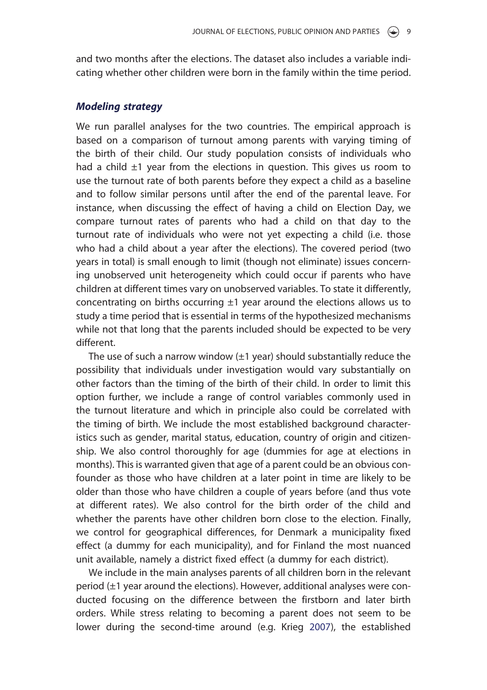and two months after the elections. The dataset also includes a variable indicating whether other children were born in the family within the time period.

### Modeling strategy

We run parallel analyses for the two countries. The empirical approach is based on a comparison of turnout among parents with varying timing of the birth of their child. Our study population consists of individuals who had a child  $\pm 1$  year from the elections in question. This gives us room to use the turnout rate of both parents before they expect a child as a baseline and to follow similar persons until after the end of the parental leave. For instance, when discussing the effect of having a child on Election Day, we compare turnout rates of parents who had a child on that day to the turnout rate of individuals who were not yet expecting a child (i.e. those who had a child about a year after the elections). The covered period (two years in total) is small enough to limit (though not eliminate) issues concerning unobserved unit heterogeneity which could occur if parents who have children at different times vary on unobserved variables. To state it differently, concentrating on births occurring  $\pm 1$  year around the elections allows us to study a time period that is essential in terms of the hypothesized mechanisms while not that long that the parents included should be expected to be very different.

The use of such a narrow window  $(\pm 1 \text{ year})$  should substantially reduce the possibility that individuals under investigation would vary substantially on other factors than the timing of the birth of their child. In order to limit this option further, we include a range of control variables commonly used in the turnout literature and which in principle also could be correlated with the timing of birth. We include the most established background characteristics such as gender, marital status, education, country of origin and citizenship. We also control thoroughly for age (dummies for age at elections in months). This is warranted given that age of a parent could be an obvious confounder as those who have children at a later point in time are likely to be older than those who have children a couple of years before (and thus vote at different rates). We also control for the birth order of the child and whether the parents have other children born close to the election. Finally, we control for geographical differences, for Denmark a municipality fixed effect (a dummy for each municipality), and for Finland the most nuanced unit available, namely a district fixed effect (a dummy for each district).

We include in the main analyses parents of all children born in the relevant period (±1 year around the elections). However, additional analyses were conducted focusing on the difference between the firstborn and later birth orders. While stress relating to becoming a parent does not seem to be lower during the second-time around (e.g. Krieg 2007), the established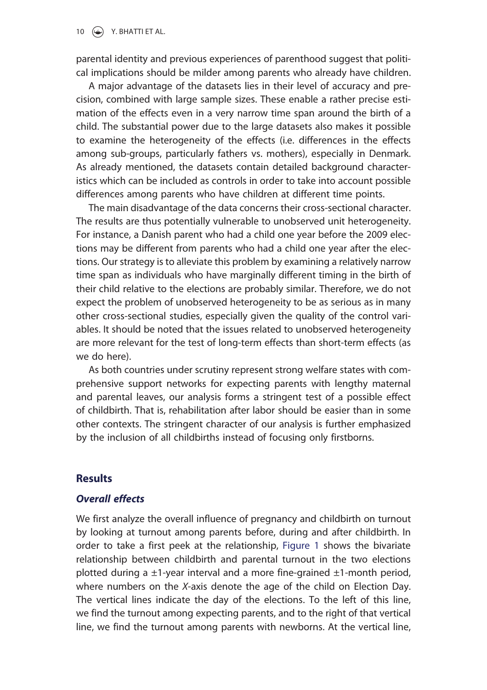parental identity and previous experiences of parenthood suggest that political implications should be milder among parents who already have children.

A major advantage of the datasets lies in their level of accuracy and precision, combined with large sample sizes. These enable a rather precise estimation of the effects even in a very narrow time span around the birth of a child. The substantial power due to the large datasets also makes it possible to examine the heterogeneity of the effects (i.e. differences in the effects among sub-groups, particularly fathers vs. mothers), especially in Denmark. As already mentioned, the datasets contain detailed background characteristics which can be included as controls in order to take into account possible differences among parents who have children at different time points.

The main disadvantage of the data concerns their cross-sectional character. The results are thus potentially vulnerable to unobserved unit heterogeneity. For instance, a Danish parent who had a child one year before the 2009 elections may be different from parents who had a child one year after the elections. Our strategy is to alleviate this problem by examining a relatively narrow time span as individuals who have marginally different timing in the birth of their child relative to the elections are probably similar. Therefore, we do not expect the problem of unobserved heterogeneity to be as serious as in many other cross-sectional studies, especially given the quality of the control variables. It should be noted that the issues related to unobserved heterogeneity are more relevant for the test of long-term effects than short-term effects (as we do here).

As both countries under scrutiny represent strong welfare states with comprehensive support networks for expecting parents with lengthy maternal and parental leaves, our analysis forms a stringent test of a possible effect of childbirth. That is, rehabilitation after labor should be easier than in some other contexts. The stringent character of our analysis is further emphasized by the inclusion of all childbirths instead of focusing only firstborns.

## **Results**

# Overall effects

We first analyze the overall influence of pregnancy and childbirth on turnout by looking at turnout among parents before, during and after childbirth. In order to take a first peek at the relationship, Figure 1 shows the bivariate relationship between childbirth and parental turnout in the two elections plotted during a  $\pm 1$ -year interval and a more fine-grained  $\pm 1$ -month period, where numbers on the *X*-axis denote the age of the child on Election Day. The vertical lines indicate the day of the elections. To the left of this line, we find the turnout among expecting parents, and to the right of that vertical line, we find the turnout among parents with newborns. At the vertical line,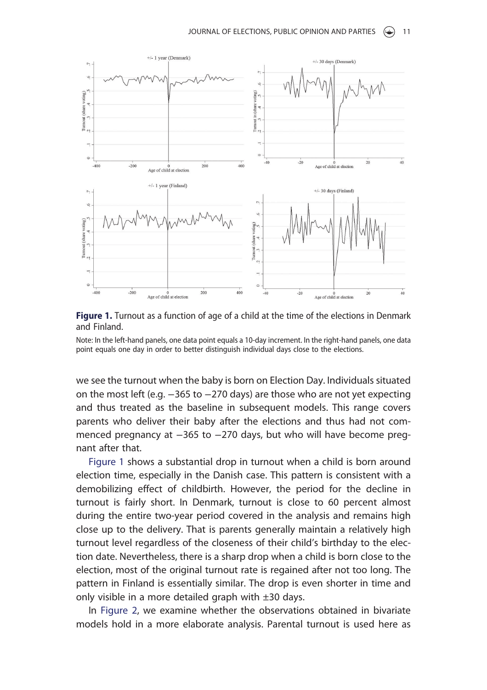

Figure 1. Turnout as a function of age of a child at the time of the elections in Denmark and Finland.

Note: In the left-hand panels, one data point equals a 10-day increment. In the right-hand panels, one data point equals one day in order to better distinguish individual days close to the elections.

we see the turnout when the baby is born on Election Day. Individuals situated on the most left (e.g. −365 to −270 days) are those who are not yet expecting and thus treated as the baseline in subsequent models. This range covers parents who deliver their baby after the elections and thus had not commenced pregnancy at −365 to −270 days, but who will have become pregnant after that.

Figure 1 shows a substantial drop in turnout when a child is born around election time, especially in the Danish case. This pattern is consistent with a demobilizing effect of childbirth. However, the period for the decline in turnout is fairly short. In Denmark, turnout is close to 60 percent almost during the entire two-year period covered in the analysis and remains high close up to the delivery. That is parents generally maintain a relatively high turnout level regardless of the closeness of their child's birthday to the election date. Nevertheless, there is a sharp drop when a child is born close to the election, most of the original turnout rate is regained after not too long. The pattern in Finland is essentially similar. The drop is even shorter in time and only visible in a more detailed graph with  $\pm 30$  days.

In Figure 2, we examine whether the observations obtained in bivariate models hold in a more elaborate analysis. Parental turnout is used here as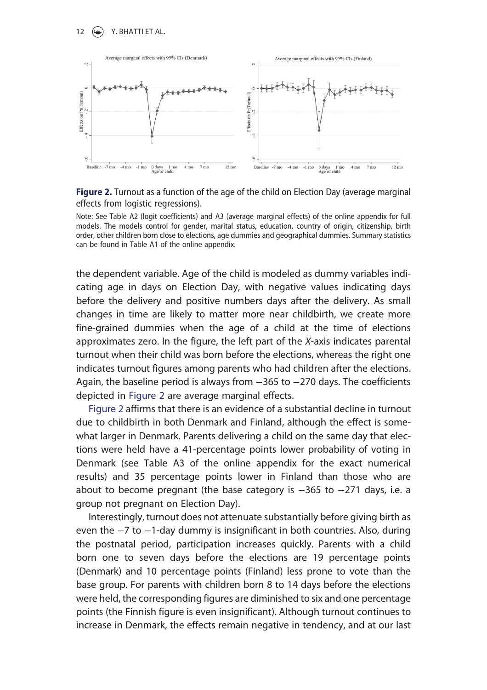

**Figure 2.** Turnout as a function of the age of the child on Election Day (average marginal effects from logistic regressions).

Note: See Table A2 (logit coefficients) and A3 (average marginal effects) of the online appendix for full models. The models control for gender, marital status, education, country of origin, citizenship, birth order, other children born close to elections, age dummies and geographical dummies. Summary statistics can be found in Table A1 of the online appendix.

the dependent variable. Age of the child is modeled as dummy variables indicating age in days on Election Day, with negative values indicating days before the delivery and positive numbers days after the delivery. As small changes in time are likely to matter more near childbirth, we create more fine-grained dummies when the age of a child at the time of elections approximates zero. In the figure, the left part of the *X*-axis indicates parental turnout when their child was born before the elections, whereas the right one indicates turnout figures among parents who had children after the elections. Again, the baseline period is always from −365 to −270 days. The coefficients depicted in Figure 2 are average marginal effects.

Figure 2 affirms that there is an evidence of a substantial decline in turnout due to childbirth in both Denmark and Finland, although the effect is somewhat larger in Denmark. Parents delivering a child on the same day that elections were held have a 41-percentage points lower probability of voting in Denmark (see Table A3 of the online appendix for the exact numerical results) and 35 percentage points lower in Finland than those who are about to become pregnant (the base category is −365 to −271 days, i.e. a group not pregnant on Election Day).

Interestingly, turnout does not attenuate substantially before giving birth as even the −7 to −1-day dummy is insignificant in both countries. Also, during the postnatal period, participation increases quickly. Parents with a child born one to seven days before the elections are 19 percentage points (Denmark) and 10 percentage points (Finland) less prone to vote than the base group. For parents with children born 8 to 14 days before the elections were held, the corresponding figures are diminished to six and one percentage points (the Finnish figure is even insignificant). Although turnout continues to increase in Denmark, the effects remain negative in tendency, and at our last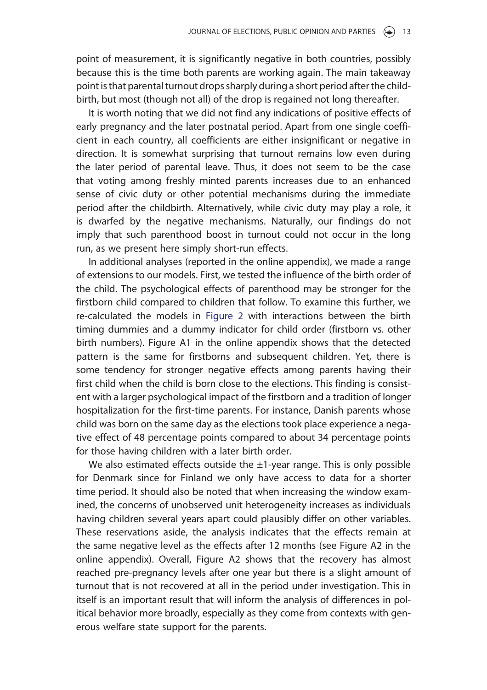point of measurement, it is significantly negative in both countries, possibly because this is the time both parents are working again. The main takeaway point is that parental turnout drops sharply during a short period after the childbirth, but most (though not all) of the drop is regained not long thereafter.

It is worth noting that we did not find any indications of positive effects of early pregnancy and the later postnatal period. Apart from one single coefficient in each country, all coefficients are either insignificant or negative in direction. It is somewhat surprising that turnout remains low even during the later period of parental leave. Thus, it does not seem to be the case that voting among freshly minted parents increases due to an enhanced sense of civic duty or other potential mechanisms during the immediate period after the childbirth. Alternatively, while civic duty may play a role, it is dwarfed by the negative mechanisms. Naturally, our findings do not imply that such parenthood boost in turnout could not occur in the long run, as we present here simply short-run effects.

In additional analyses (reported in the online appendix), we made a range of extensions to our models. First, we tested the influence of the birth order of the child. The psychological effects of parenthood may be stronger for the firstborn child compared to children that follow. To examine this further, we re-calculated the models in Figure 2 with interactions between the birth timing dummies and a dummy indicator for child order (firstborn vs. other birth numbers). Figure A1 in the online appendix shows that the detected pattern is the same for firstborns and subsequent children. Yet, there is some tendency for stronger negative effects among parents having their first child when the child is born close to the elections. This finding is consistent with a larger psychological impact of the firstborn and a tradition of longer hospitalization for the first-time parents. For instance, Danish parents whose child was born on the same day as the elections took place experience a negative effect of 48 percentage points compared to about 34 percentage points for those having children with a later birth order.

We also estimated effects outside the  $\pm 1$ -year range. This is only possible for Denmark since for Finland we only have access to data for a shorter time period. It should also be noted that when increasing the window examined, the concerns of unobserved unit heterogeneity increases as individuals having children several years apart could plausibly differ on other variables. These reservations aside, the analysis indicates that the effects remain at the same negative level as the effects after 12 months (see Figure A2 in the online appendix). Overall, Figure A2 shows that the recovery has almost reached pre-pregnancy levels after one year but there is a slight amount of turnout that is not recovered at all in the period under investigation. This in itself is an important result that will inform the analysis of differences in political behavior more broadly, especially as they come from contexts with generous welfare state support for the parents.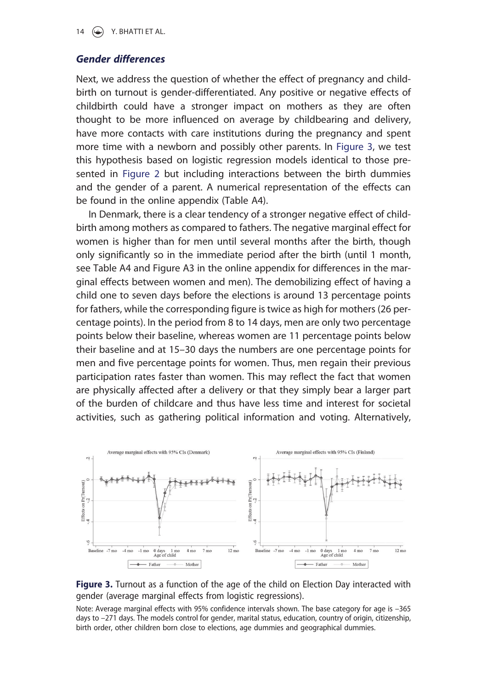#### 14  $\left(\bigstar\right)$  Y. BHATTI ET AL.

## Gender differences

Next, we address the question of whether the effect of pregnancy and childbirth on turnout is gender-differentiated. Any positive or negative effects of childbirth could have a stronger impact on mothers as they are often thought to be more influenced on average by childbearing and delivery, have more contacts with care institutions during the pregnancy and spent more time with a newborn and possibly other parents. In Figure 3, we test this hypothesis based on logistic regression models identical to those presented in Figure 2 but including interactions between the birth dummies and the gender of a parent. A numerical representation of the effects can be found in the online appendix (Table A4).

In Denmark, there is a clear tendency of a stronger negative effect of childbirth among mothers as compared to fathers. The negative marginal effect for women is higher than for men until several months after the birth, though only significantly so in the immediate period after the birth (until 1 month, see Table A4 and Figure A3 in the online appendix for differences in the marginal effects between women and men). The demobilizing effect of having a child one to seven days before the elections is around 13 percentage points for fathers, while the corresponding figure is twice as high for mothers (26 percentage points). In the period from 8 to 14 days, men are only two percentage points below their baseline, whereas women are 11 percentage points below their baseline and at 15–30 days the numbers are one percentage points for men and five percentage points for women. Thus, men regain their previous participation rates faster than women. This may reflect the fact that women are physically affected after a delivery or that they simply bear a larger part of the burden of childcare and thus have less time and interest for societal activities, such as gathering political information and voting. Alternatively,



#### **Figure 3.** Turnout as a function of the age of the child on Election Day interacted with gender (average marginal effects from logistic regressions).

Note: Average marginal effects with 95% confidence intervals shown. The base category for age is –365 days to –271 days. The models control for gender, marital status, education, country of origin, citizenship, birth order, other children born close to elections, age dummies and geographical dummies.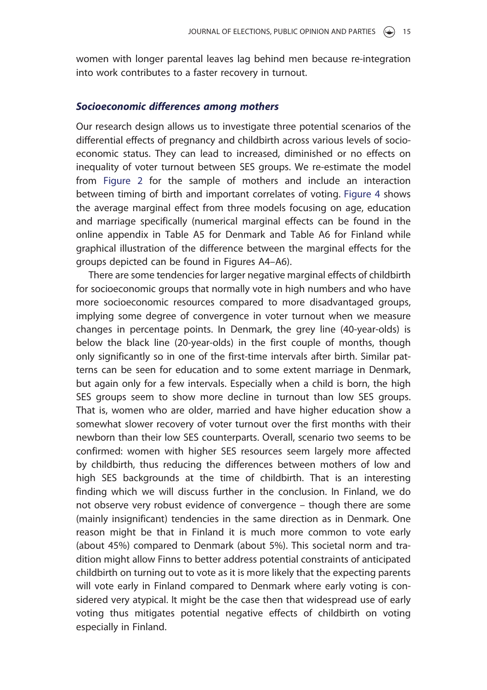women with longer parental leaves lag behind men because re-integration into work contributes to a faster recovery in turnout.

#### Socioeconomic differences among mothers

Our research design allows us to investigate three potential scenarios of the differential effects of pregnancy and childbirth across various levels of socioeconomic status. They can lead to increased, diminished or no effects on inequality of voter turnout between SES groups. We re-estimate the model from Figure 2 for the sample of mothers and include an interaction between timing of birth and important correlates of voting. Figure 4 shows the average marginal effect from three models focusing on age, education and marriage specifically (numerical marginal effects can be found in the online appendix in Table A5 for Denmark and Table A6 for Finland while graphical illustration of the difference between the marginal effects for the groups depicted can be found in Figures A4–A6).

There are some tendencies for larger negative marginal effects of childbirth for socioeconomic groups that normally vote in high numbers and who have more socioeconomic resources compared to more disadvantaged groups, implying some degree of convergence in voter turnout when we measure changes in percentage points. In Denmark, the grey line (40-year-olds) is below the black line (20-year-olds) in the first couple of months, though only significantly so in one of the first-time intervals after birth. Similar patterns can be seen for education and to some extent marriage in Denmark, but again only for a few intervals. Especially when a child is born, the high SES groups seem to show more decline in turnout than low SES groups. That is, women who are older, married and have higher education show a somewhat slower recovery of voter turnout over the first months with their newborn than their low SES counterparts. Overall, scenario two seems to be confirmed: women with higher SES resources seem largely more affected by childbirth, thus reducing the differences between mothers of low and high SES backgrounds at the time of childbirth. That is an interesting finding which we will discuss further in the conclusion. In Finland, we do not observe very robust evidence of convergence – though there are some (mainly insignificant) tendencies in the same direction as in Denmark. One reason might be that in Finland it is much more common to vote early (about 45%) compared to Denmark (about 5%). This societal norm and tradition might allow Finns to better address potential constraints of anticipated childbirth on turning out to vote as it is more likely that the expecting parents will vote early in Finland compared to Denmark where early voting is considered very atypical. It might be the case then that widespread use of early voting thus mitigates potential negative effects of childbirth on voting especially in Finland.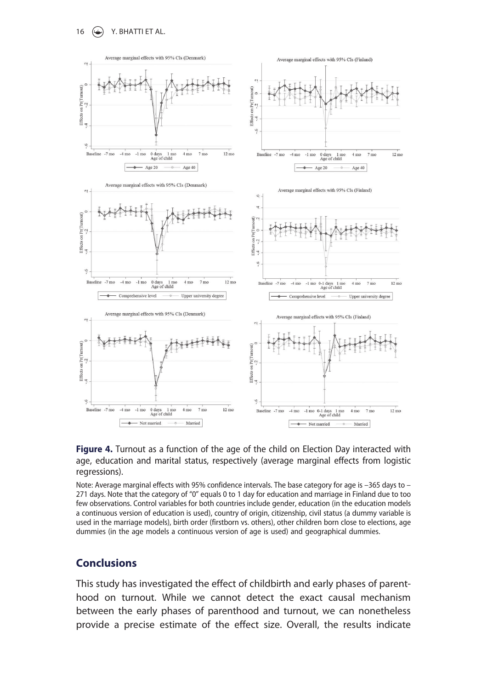16  $\left(\bigstar\right)$  Y. BHATTI ET AL.



Figure 4. Turnout as a function of the age of the child on Election Day interacted with age, education and marital status, respectively (average marginal effects from logistic regressions).

Note: Average marginal effects with 95% confidence intervals. The base category for age is -365 days to -271 days. Note that the category of "0" equals 0 to 1 day for education and marriage in Finland due to too few observations. Control variables for both countries include gender, education (in the education models a continuous version of education is used), country of origin, citizenship, civil status (a dummy variable is used in the marriage models), birth order (firstborn vs. others), other children born close to elections, age dummies (in the age models a continuous version of age is used) and geographical dummies.

# Conclusions

This study has investigated the effect of childbirth and early phases of parenthood on turnout. While we cannot detect the exact causal mechanism between the early phases of parenthood and turnout, we can nonetheless provide a precise estimate of the effect size. Overall, the results indicate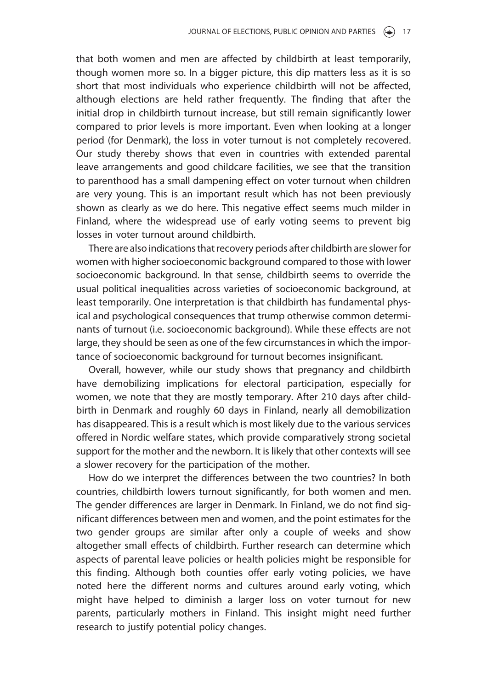that both women and men are affected by childbirth at least temporarily, though women more so. In a bigger picture, this dip matters less as it is so short that most individuals who experience childbirth will not be affected, although elections are held rather frequently. The finding that after the initial drop in childbirth turnout increase, but still remain significantly lower compared to prior levels is more important. Even when looking at a longer period (for Denmark), the loss in voter turnout is not completely recovered. Our study thereby shows that even in countries with extended parental leave arrangements and good childcare facilities, we see that the transition to parenthood has a small dampening effect on voter turnout when children are very young. This is an important result which has not been previously shown as clearly as we do here. This negative effect seems much milder in Finland, where the widespread use of early voting seems to prevent big losses in voter turnout around childbirth.

There are also indications that recovery periods after childbirth are slower for women with higher socioeconomic background compared to those with lower socioeconomic background. In that sense, childbirth seems to override the usual political inequalities across varieties of socioeconomic background, at least temporarily. One interpretation is that childbirth has fundamental physical and psychological consequences that trump otherwise common determinants of turnout (i.e. socioeconomic background). While these effects are not large, they should be seen as one of the few circumstances in which the importance of socioeconomic background for turnout becomes insignificant.

Overall, however, while our study shows that pregnancy and childbirth have demobilizing implications for electoral participation, especially for women, we note that they are mostly temporary. After 210 days after childbirth in Denmark and roughly 60 days in Finland, nearly all demobilization has disappeared. This is a result which is most likely due to the various services offered in Nordic welfare states, which provide comparatively strong societal support for the mother and the newborn. It is likely that other contexts will see a slower recovery for the participation of the mother.

How do we interpret the differences between the two countries? In both countries, childbirth lowers turnout significantly, for both women and men. The gender differences are larger in Denmark. In Finland, we do not find significant differences between men and women, and the point estimates for the two gender groups are similar after only a couple of weeks and show altogether small effects of childbirth. Further research can determine which aspects of parental leave policies or health policies might be responsible for this finding. Although both counties offer early voting policies, we have noted here the different norms and cultures around early voting, which might have helped to diminish a larger loss on voter turnout for new parents, particularly mothers in Finland. This insight might need further research to justify potential policy changes.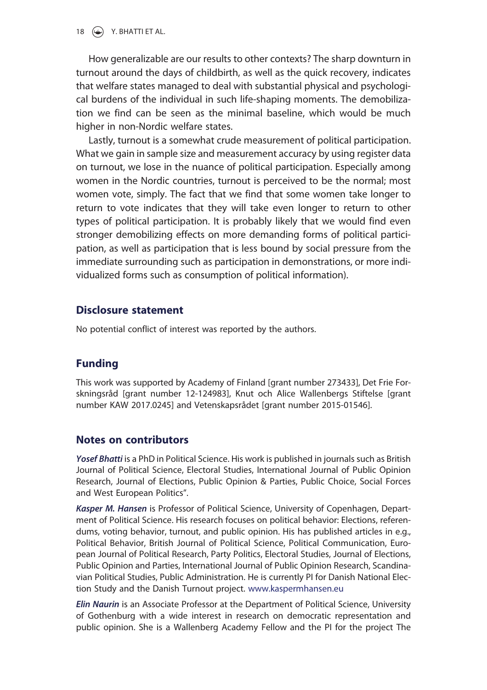How generalizable are our results to other contexts? The sharp downturn in turnout around the days of childbirth, as well as the quick recovery, indicates that welfare states managed to deal with substantial physical and psychological burdens of the individual in such life-shaping moments. The demobilization we find can be seen as the minimal baseline, which would be much higher in non-Nordic welfare states.

Lastly, turnout is a somewhat crude measurement of political participation. What we gain in sample size and measurement accuracy by using register data on turnout, we lose in the nuance of political participation. Especially among women in the Nordic countries, turnout is perceived to be the normal; most women vote, simply. The fact that we find that some women take longer to return to vote indicates that they will take even longer to return to other types of political participation. It is probably likely that we would find even stronger demobilizing effects on more demanding forms of political participation, as well as participation that is less bound by social pressure from the immediate surrounding such as participation in demonstrations, or more individualized forms such as consumption of political information).

# Disclosure statement

No potential conflict of interest was reported by the authors.

# Funding

This work was supported by Academy of Finland [grant number 273433], Det Frie Forskningsråd [grant number 12-124983], Knut och Alice Wallenbergs Stiftelse [grant number KAW 2017.0245] and Vetenskapsrådet [grant number 2015-01546].

# Notes on contributors

Yosef Bhatti is a PhD in Political Science. His work is published in journals such as British Journal of Political Science, Electoral Studies, International Journal of Public Opinion Research, Journal of Elections, Public Opinion & Parties, Public Choice, Social Forces and West European Politics".

Kasper M. Hansen is Professor of Political Science, University of Copenhagen, Department of Political Science. His research focuses on political behavior: Elections, referendums, voting behavior, turnout, and public opinion. His has published articles in e.g., Political Behavior, British Journal of Political Science, Political Communication, European Journal of Political Research, Party Politics, Electoral Studies, Journal of Elections, Public Opinion and Parties, International Journal of Public Opinion Research, Scandinavian Political Studies, Public Administration. He is currently PI for Danish National Election Study and the Danish Turnout project. www.kaspermhansen.eu

**Elin Naurin** is an Associate Professor at the Department of Political Science, University of Gothenburg with a wide interest in research on democratic representation and public opinion. She is a Wallenberg Academy Fellow and the PI for the project The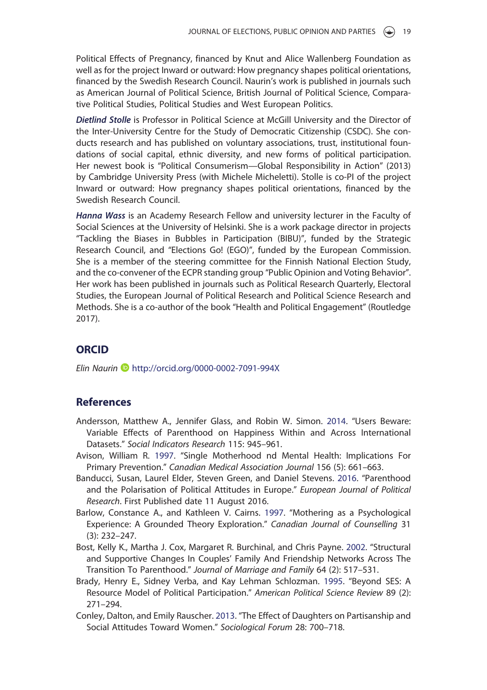Political Effects of Pregnancy, financed by Knut and Alice Wallenberg Foundation as well as for the project Inward or outward: How pregnancy shapes political orientations, financed by the Swedish Research Council. Naurin's work is published in journals such as American Journal of Political Science, British Journal of Political Science, Comparative Political Studies, Political Studies and West European Politics.

Dietlind Stolle is Professor in Political Science at McGill University and the Director of the Inter-University Centre for the Study of Democratic Citizenship (CSDC). She conducts research and has published on voluntary associations, trust, institutional foundations of social capital, ethnic diversity, and new forms of political participation. Her newest book is "Political Consumerism—Global Responsibility in Action" (2013) by Cambridge University Press (with Michele Micheletti). Stolle is co-PI of the project Inward or outward: How pregnancy shapes political orientations, financed by the Swedish Research Council.

Hanna Wass is an Academy Research Fellow and university lecturer in the Faculty of Social Sciences at the University of Helsinki. She is a work package director in projects "Tackling the Biases in Bubbles in Participation (BIBU)", funded by the Strategic Research Council, and "Elections Go! (EGO)", funded by the European Commission. She is a member of the steering committee for the Finnish National Election Study, and the co-convener of the ECPR standing group "Public Opinion and Voting Behavior". Her work has been published in journals such as Political Research Quarterly, Electoral Studies, the European Journal of Political Research and Political Science Research and Methods. She is a co-author of the book "Health and Political Engagement" (Routledge 2017).

# **ORCID**

*Elin Naurin* http://orcid.org/0000-0002-7091-994X

## References

- Andersson, Matthew A., Jennifer Glass, and Robin W. Simon. 2014. "Users Beware: Variable Effects of Parenthood on Happiness Within and Across International Datasets." *Social Indicators Research* 115: 945–961.
- Avison, William R. 1997. "Single Motherhood nd Mental Health: Implications For Primary Prevention." *Canadian Medical Association Journal* 156 (5): 661–663.
- Banducci, Susan, Laurel Elder, Steven Green, and Daniel Stevens. 2016. "Parenthood and the Polarisation of Political Attitudes in Europe." *European Journal of Political Research*. First Published date 11 August 2016.
- Barlow, Constance A., and Kathleen V. Cairns. 1997. "Mothering as a Psychological Experience: A Grounded Theory Exploration." *Canadian Journal of Counselling* 31 (3): 232–247.
- Bost, Kelly K., Martha J. Cox, Margaret R. Burchinal, and Chris Payne. 2002. "Structural and Supportive Changes In Couples' Family And Friendship Networks Across The Transition To Parenthood." *Journal of Marriage and Family* 64 (2): 517–531.
- Brady, Henry E., Sidney Verba, and Kay Lehman Schlozman. 1995. "Beyond SES: A Resource Model of Political Participation." *American Political Science Review* 89 (2): 271–294.
- Conley, Dalton, and Emily Rauscher. 2013. "The Effect of Daughters on Partisanship and Social Attitudes Toward Women." *Sociological Forum* 28: 700–718.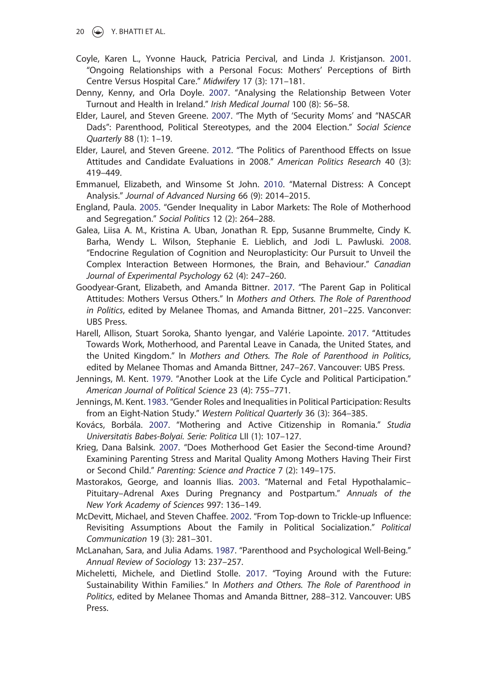- 20  $\left(\bigstar\right)$  Y. BHATTI ET AL.
- Coyle, Karen L., Yvonne Hauck, Patricia Percival, and Linda J. Kristjanson. 2001. "Ongoing Relationships with a Personal Focus: Mothers' Perceptions of Birth Centre Versus Hospital Care." *Midwifery* 17 (3): 171–181.
- Denny, Kenny, and Orla Doyle. 2007. "Analysing the Relationship Between Voter Turnout and Health in Ireland." *Irish Medical Journal* 100 (8): 56–58.
- Elder, Laurel, and Steven Greene. 2007. "The Myth of 'Security Moms' and "NASCAR Dads": Parenthood, Political Stereotypes, and the 2004 Election." *Social Science Quarterly* 88 (1): 1–19.
- Elder, Laurel, and Steven Greene. 2012. "The Politics of Parenthood Effects on Issue Attitudes and Candidate Evaluations in 2008." *American Politics Research* 40 (3): 419–449.
- Emmanuel, Elizabeth, and Winsome St John. 2010. "Maternal Distress: A Concept Analysis." *Journal of Advanced Nursing* 66 (9): 2014–2015.
- England, Paula. 2005. "Gender Inequality in Labor Markets: The Role of Motherhood and Segregation." *Social Politics* 12 (2): 264–288.
- Galea, Liisa A. M., Kristina A. Uban, Jonathan R. Epp, Susanne Brummelte, Cindy K. Barha, Wendy L. Wilson, Stephanie E. Lieblich, and Jodi L. Pawluski. 2008. "Endocrine Regulation of Cognition and Neuroplasticity: Our Pursuit to Unveil the Complex Interaction Between Hormones, the Brain, and Behaviour." *Canadian Journal of Experimental Psychology* 62 (4): 247–260.
- Goodyear-Grant, Elizabeth, and Amanda Bittner. 2017. "The Parent Gap in Political Attitudes: Mothers Versus Others." In *Mothers and Others. The Role of Parenthood in Politics*, edited by Melanee Thomas, and Amanda Bittner, 201–225. Vanconver: UBS Press.
- Harell, Allison, Stuart Soroka, Shanto Iyengar, and Valérie Lapointe. 2017. "Attitudes Towards Work, Motherhood, and Parental Leave in Canada, the United States, and the United Kingdom." In *Mothers and Others. The Role of Parenthood in Politics*, edited by Melanee Thomas and Amanda Bittner, 247–267. Vancouver: UBS Press.
- Jennings, M. Kent. 1979. "Another Look at the Life Cycle and Political Participation." *American Journal of Political Science* 23 (4): 755–771.
- Jennings, M. Kent. 1983. "Gender Roles and Inequalities in Political Participation: Results from an Eight-Nation Study." *Western Political Quarterly* 36 (3): 364–385.
- Kovács, Borbála. 2007. "Mothering and Active Citizenship in Romania." *Studia Universitatis Babes-Bolyai. Serie: Politica* LII (1): 107–127.
- Krieg, Dana Balsink. 2007. "Does Motherhood Get Easier the Second-time Around? Examining Parenting Stress and Marital Quality Among Mothers Having Their First or Second Child." *Parenting: Science and Practice* 7 (2): 149–175.
- Mastorakos, George, and Ioannis Ilias. 2003. "Maternal and Fetal Hypothalamic– Pituitary–Adrenal Axes During Pregnancy and Postpartum." *Annuals of the New York Academy of Sciences* 997: 136–149.
- McDevitt, Michael, and Steven Chaffee. 2002. "From Top-down to Trickle-up Influence: Revisiting Assumptions About the Family in Political Socialization." *Political Communication* 19 (3): 281–301.
- McLanahan, Sara, and Julia Adams. 1987. "Parenthood and Psychological Well-Being." *Annual Review of Sociology* 13: 237–257.
- Micheletti, Michele, and Dietlind Stolle. 2017. "Toying Around with the Future: Sustainability Within Families." In *Mothers and Others. The Role of Parenthood in Politics*, edited by Melanee Thomas and Amanda Bittner, 288–312. Vancouver: UBS Press.